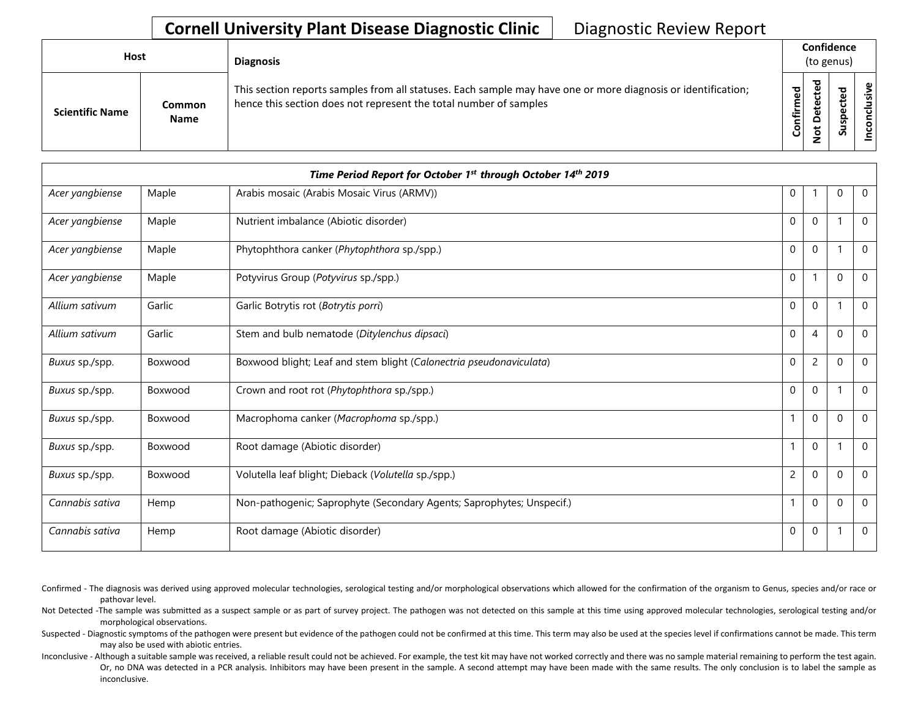| Host                   |                       |                                                                                                                                                                                    |             | <b>Diagnosis</b> |                   |  | Confidence<br>(to genus) |  |
|------------------------|-----------------------|------------------------------------------------------------------------------------------------------------------------------------------------------------------------------------|-------------|------------------|-------------------|--|--------------------------|--|
| <b>Scientific Name</b> | Common<br><b>Name</b> | This section reports samples from all statuses. Each sample may have one or more diagnosis or identification;<br>hence this section does not represent the total number of samples | ᇃ<br>⇐<br>ပ | ਠ                | s<br>$\mathbf{v}$ |  |                          |  |

|                 | Time Period Report for October 1st through October 14th 2019 |                                                                       |                |                |          |              |  |
|-----------------|--------------------------------------------------------------|-----------------------------------------------------------------------|----------------|----------------|----------|--------------|--|
| Acer yangbiense | Maple                                                        | Arabis mosaic (Arabis Mosaic Virus (ARMV))                            | 0              |                | $\Omega$ | $\Omega$     |  |
| Acer yangbiense | Maple                                                        | Nutrient imbalance (Abiotic disorder)                                 | $\Omega$       | $\Omega$       |          | $\Omega$     |  |
| Acer yangbiense | Maple                                                        | Phytophthora canker (Phytophthora sp./spp.)                           | $\mathbf 0$    | $\mathbf 0$    |          | $\Omega$     |  |
| Acer yangbiense | Maple                                                        | Potyvirus Group (Potyvirus sp./spp.)                                  | $\mathbf 0$    |                | $\Omega$ | $\mathbf{0}$ |  |
| Allium sativum  | Garlic                                                       | Garlic Botrytis rot (Botrytis porri)                                  | $\mathbf 0$    | $\mathbf 0$    |          | $\mathbf 0$  |  |
| Allium sativum  | Garlic                                                       | Stem and bulb nematode (Ditylenchus dipsaci)                          | $\mathbf 0$    | $\overline{4}$ | $\Omega$ | $\mathbf 0$  |  |
| Buxus sp./spp.  | Boxwood                                                      | Boxwood blight; Leaf and stem blight (Calonectria pseudonaviculata)   | $\mathbf 0$    | 2              | $\Omega$ | $\mathbf 0$  |  |
| Buxus sp./spp.  | Boxwood                                                      | Crown and root rot (Phytophthora sp./spp.)                            | 0              | $\mathbf 0$    |          | $\Omega$     |  |
| Buxus sp./spp.  | Boxwood                                                      | Macrophoma canker (Macrophoma sp./spp.)                               |                | $\Omega$       | $\Omega$ | $\mathbf 0$  |  |
| Buxus sp./spp.  | Boxwood                                                      | Root damage (Abiotic disorder)                                        |                | $\mathbf 0$    |          | $\mathbf 0$  |  |
| Buxus sp./spp.  | Boxwood                                                      | Volutella leaf blight; Dieback (Volutella sp./spp.)                   | $\overline{c}$ | $\Omega$       | $\Omega$ | $\mathbf{0}$ |  |
| Cannabis sativa | Hemp                                                         | Non-pathogenic; Saprophyte (Secondary Agents; Saprophytes; Unspecif.) |                | $\mathbf 0$    | $\Omega$ | $\mathbf 0$  |  |
| Cannabis sativa | Hemp                                                         | Root damage (Abiotic disorder)                                        | $\Omega$       | $\Omega$       |          | $\mathbf 0$  |  |

Confirmed - The diagnosis was derived using approved molecular technologies, serological testing and/or morphological observations which allowed for the confirmation of the organism to Genus, species and/or race or pathovar level.

Not Detected -The sample was submitted as a suspect sample or as part of survey project. The pathogen was not detected on this sample at this time using approved molecular technologies, serological testing and/or morphological observations.

Suspected - Diagnostic symptoms of the pathogen were present but evidence of the pathogen could not be confirmed at this time. This term may also be used at the species level if confirmations cannot be made. This term may also be used with abiotic entries.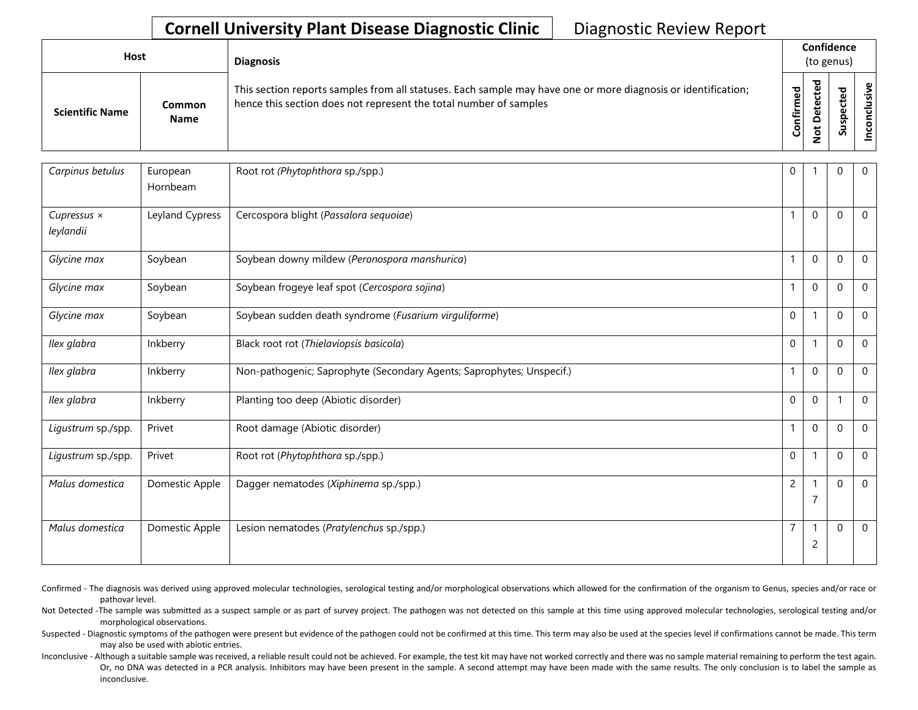| <b>Host</b>            |                       | <b>Diagnosis</b>                                                                                                                                                                   |           | Confidence<br>(to genus)          |   |                      |
|------------------------|-----------------------|------------------------------------------------------------------------------------------------------------------------------------------------------------------------------------|-----------|-----------------------------------|---|----------------------|
| <b>Scientific Name</b> | Common<br><b>Name</b> | This section reports samples from all statuses. Each sample may have one or more diagnosis or identification;<br>hence this section does not represent the total number of samples | Confirmed | ᇃ<br>ω<br>e<br>Q<br>سه<br>$\circ$ | n | ω<br><u>.응</u><br>᠊ᠣ |

| Carpinus betulus                | European<br>Hornbeam | Root rot (Phytophthora sp./spp.)                                      | $\mathbf 0$    |                          | $\mathbf 0$  | $\mathbf 0$    |
|---------------------------------|----------------------|-----------------------------------------------------------------------|----------------|--------------------------|--------------|----------------|
| Cupressus $\times$<br>leylandii | Leyland Cypress      | Cercospora blight (Passalora sequoiae)                                |                | $\mathbf 0$              | $\Omega$     | $\mathbf 0$    |
| Glycine max                     | Soybean              | Soybean downy mildew (Peronospora manshurica)                         | 1              | $\mathbf 0$              | 0            | $\mathbf 0$    |
| Glycine max                     | Soybean              | Soybean frogeye leaf spot (Cercospora sojina)                         | $\overline{1}$ | $\boldsymbol{0}$         | 0            | $\mathbf 0$    |
| Glycine max                     | Soybean              | Soybean sudden death syndrome (Fusarium virguliforme)                 | $\mathbf 0$    | 1                        | 0            | $\mathbf 0$    |
| Ilex glabra                     | Inkberry             | Black root rot (Thielaviopsis basicola)                               | $\mathbf 0$    | $\mathbf 1$              | $\mathbf 0$  | 0              |
| Ilex glabra                     | Inkberry             | Non-pathogenic; Saprophyte (Secondary Agents; Saprophytes; Unspecif.) | 1              | $\Omega$                 | $\mathbf{0}$ | $\mathbf 0$    |
| Ilex glabra                     | Inkberry             | Planting too deep (Abiotic disorder)                                  | $\mathbf 0$    | $\mathbf 0$              |              | $\mathbf 0$    |
| Ligustrum sp./spp.              | Privet               | Root damage (Abiotic disorder)                                        | 1              | $\boldsymbol{0}$         | 0            | $\mathbf 0$    |
| Ligustrum sp./spp.              | Privet               | Root rot (Phytophthora sp./spp.)                                      | $\mathbf 0$    | $\overline{\phantom{a}}$ | 0            | $\mathbf 0$    |
| Malus domestica                 | Domestic Apple       | Dagger nematodes (Xiphinema sp./spp.)                                 | $\overline{c}$ | Í<br>$\overline{7}$      | 0            | $\overline{0}$ |
| Malus domestica                 | Domestic Apple       | Lesion nematodes (Pratylenchus sp./spp.)                              | $\overline{7}$ | $\overline{c}$           | 0            | $\mathbf 0$    |

Confirmed - The diagnosis was derived using approved molecular technologies, serological testing and/or morphological observations which allowed for the confirmation of the organism to Genus, species and/or race or pathovar level.

Not Detected -The sample was submitted as a suspect sample or as part of survey project. The pathogen was not detected on this sample at this time using approved molecular technologies, serological testing and/or morphological observations.

Suspected - Diagnostic symptoms of the pathogen were present but evidence of the pathogen could not be confirmed at this time. This term may also be used at the species level if confirmations cannot be made. This term may also be used with abiotic entries.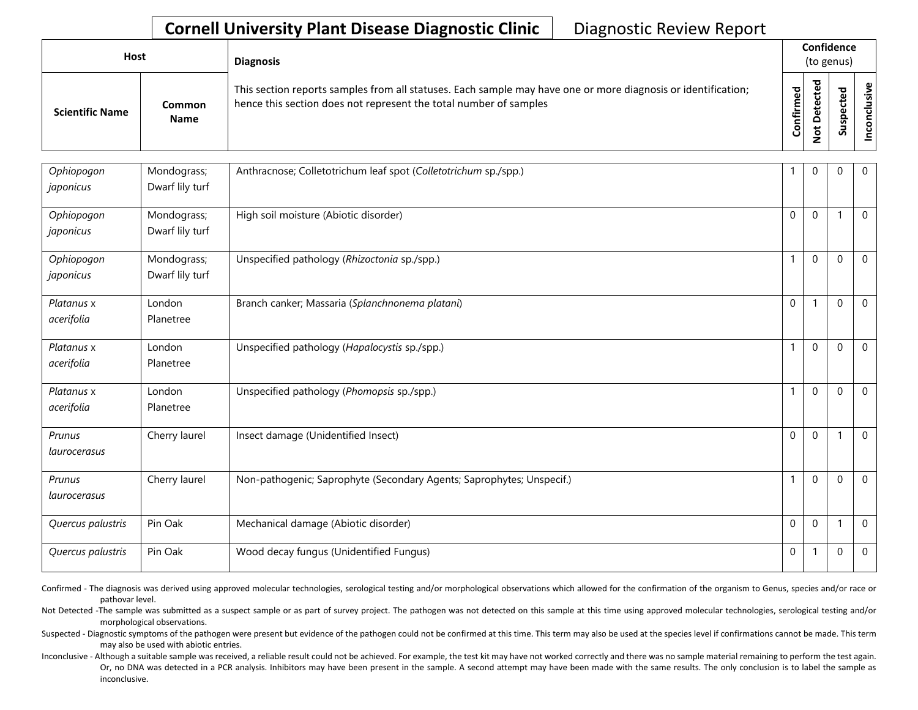| <b>Host</b>            |                       | <b>Diagnosis</b>                                                                                                                                                                   |                  |        | Confidence<br>(to genus)   |                        |
|------------------------|-----------------------|------------------------------------------------------------------------------------------------------------------------------------------------------------------------------------|------------------|--------|----------------------------|------------------------|
| <b>Scientific Name</b> | Common<br><b>Name</b> | This section reports samples from all statuses. Each sample may have one or more diagnosis or identification;<br>hence this section does not represent the total number of samples | ಕ<br>nfirm<br>ပြ | ᇃ<br>≏ | ω<br>ω<br>௨<br>s<br>Б<br>S | $\frac{1}{2}$<br><br>۰ |

| Ophiopogon<br>japonicus  | Mondograss;<br>Dwarf lily turf | Anthracnose; Colletotrichum leaf spot (Colletotrichum sp./spp.)       |              | 0            | $\Omega$     | $\overline{0}$ |
|--------------------------|--------------------------------|-----------------------------------------------------------------------|--------------|--------------|--------------|----------------|
| Ophiopogon<br>japonicus  | Mondograss;<br>Dwarf lily turf | High soil moisture (Abiotic disorder)                                 | $\mathbf{0}$ | $\mathbf 0$  |              | $\mathbf 0$    |
| Ophiopogon<br>japonicus  | Mondograss;<br>Dwarf lily turf | Unspecified pathology (Rhizoctonia sp./spp.)                          | $\mathbf{1}$ | $\mathbf 0$  | $\mathbf{0}$ | $\mathbf 0$    |
| Platanus x<br>acerifolia | London<br>Planetree            | Branch canker; Massaria (Splanchnonema platani)                       | $\mathbf 0$  | $\mathbf{1}$ | $\mathbf 0$  | $\mathbf 0$    |
| Platanus x<br>acerifolia | London<br>Planetree            | Unspecified pathology (Hapalocystis sp./spp.)                         |              | $\mathbf 0$  | $\mathbf{0}$ | $\mathbf 0$    |
| Platanus x<br>acerifolia | London<br>Planetree            | Unspecified pathology (Phomopsis sp./spp.)                            | $\mathbf{1}$ | $\mathbf 0$  | $\mathbf 0$  | $\overline{0}$ |
| Prunus<br>laurocerasus   | Cherry laurel                  | Insect damage (Unidentified Insect)                                   | $\mathbf{0}$ | $\mathbf 0$  |              | $\overline{0}$ |
| Prunus<br>laurocerasus   | Cherry laurel                  | Non-pathogenic; Saprophyte (Secondary Agents; Saprophytes; Unspecif.) | $\mathbf{1}$ | $\Omega$     | $\mathbf{0}$ | $\overline{0}$ |
| Quercus palustris        | Pin Oak                        | Mechanical damage (Abiotic disorder)                                  | $\mathbf{0}$ | $\mathbf 0$  |              | $\overline{0}$ |
| Quercus palustris        | Pin Oak                        | Wood decay fungus (Unidentified Fungus)                               | $\mathbf 0$  |              | $\mathbf 0$  | $\overline{0}$ |

Confirmed - The diagnosis was derived using approved molecular technologies, serological testing and/or morphological observations which allowed for the confirmation of the organism to Genus, species and/or race or pathovar level.

Not Detected -The sample was submitted as a suspect sample or as part of survey project. The pathogen was not detected on this sample at this time using approved molecular technologies, serological testing and/or morphological observations.

Suspected - Diagnostic symptoms of the pathogen were present but evidence of the pathogen could not be confirmed at this time. This term may also be used at the species level if confirmations cannot be made. This term may also be used with abiotic entries.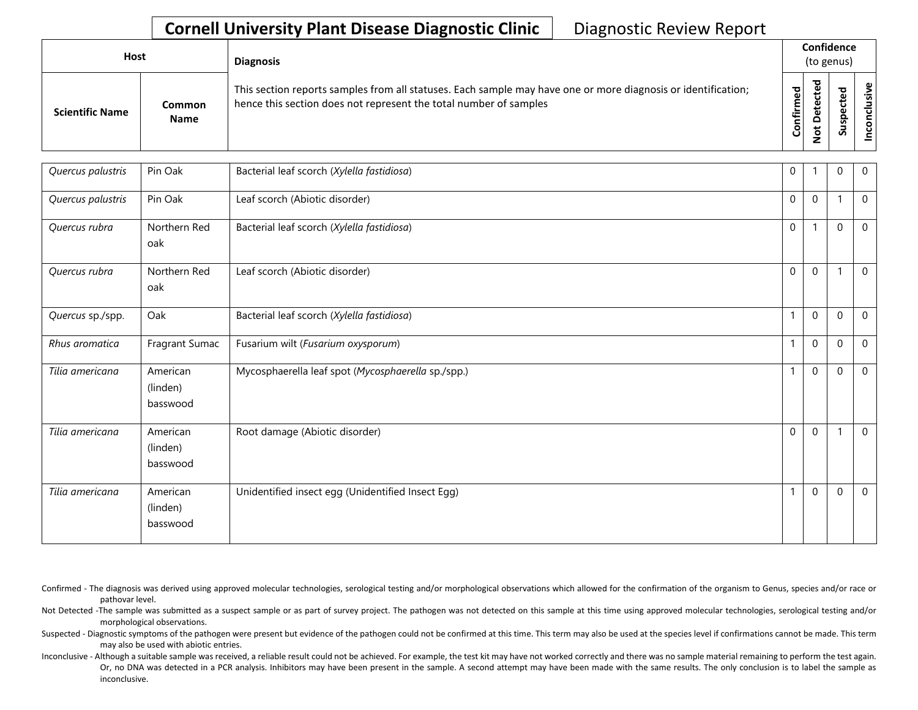| <b>Host</b>            |                       | <b>Diagnosis</b>                                                                                                                                                                   |                                      |                  | Confidence<br>(to genus)        |          |
|------------------------|-----------------------|------------------------------------------------------------------------------------------------------------------------------------------------------------------------------------|--------------------------------------|------------------|---------------------------------|----------|
| <b>Scientific Name</b> | Common<br><b>Name</b> | This section reports samples from all statuses. Each sample may have one or more diagnosis or identification;<br>hence this section does not represent the total number of samples | ਠ<br>$\tilde{\mathbf{Q}}$<br>Confirm | ਠ<br>≏<br>پ<br>۰ | ᇃ<br>ω<br>ω<br>௨<br>s<br>∍<br>S | ያ<br>'あ」 |

| Quercus palustris | Pin Oak                          | Bacterial leaf scorch (Xylella fastidiosa)         | 0            |              | 0                        | $\mathbf 0$    |
|-------------------|----------------------------------|----------------------------------------------------|--------------|--------------|--------------------------|----------------|
| Quercus palustris | Pin Oak                          | Leaf scorch (Abiotic disorder)                     | $\mathbf 0$  | $\mathbf{0}$ | 1                        | $\mathbf 0$    |
| Quercus rubra     | Northern Red<br>oak              | Bacterial leaf scorch (Xylella fastidiosa)         | $\mathbf 0$  |              | 0                        | $\mathbf 0$    |
| Quercus rubra     | Northern Red<br>oak              | Leaf scorch (Abiotic disorder)                     | $\Omega$     | $\mathbf{0}$ | $\overline{\phantom{a}}$ | $\overline{0}$ |
| Quercus sp./spp.  | Oak                              | Bacterial leaf scorch (Xylella fastidiosa)         |              | $\Omega$     | $\Omega$                 | $\mathbf 0$    |
| Rhus aromatica    | Fragrant Sumac                   | Fusarium wilt (Fusarium oxysporum)                 | $\mathbf{1}$ | $\mathbf 0$  | $\mathbf 0$              | $\mathbf 0$    |
| Tilia americana   | American<br>(linden)<br>basswood | Mycosphaerella leaf spot (Mycosphaerella sp./spp.) |              | $\mathbf 0$  | 0                        | $\mathbf 0$    |
| Tilia americana   | American<br>(linden)<br>basswood | Root damage (Abiotic disorder)                     | $\mathbf 0$  | $\mathbf 0$  |                          | $\mathbf 0$    |
| Tilia americana   | American<br>(linden)<br>basswood | Unidentified insect egg (Unidentified Insect Egg)  |              | $\mathbf 0$  | $\mathbf 0$              | $\mathbf{0}$   |

Confirmed - The diagnosis was derived using approved molecular technologies, serological testing and/or morphological observations which allowed for the confirmation of the organism to Genus, species and/or race or pathovar level.

Not Detected -The sample was submitted as a suspect sample or as part of survey project. The pathogen was not detected on this sample at this time using approved molecular technologies, serological testing and/or morphological observations.

Suspected - Diagnostic symptoms of the pathogen were present but evidence of the pathogen could not be confirmed at this time. This term may also be used at the species level if confirmations cannot be made. This term may also be used with abiotic entries.